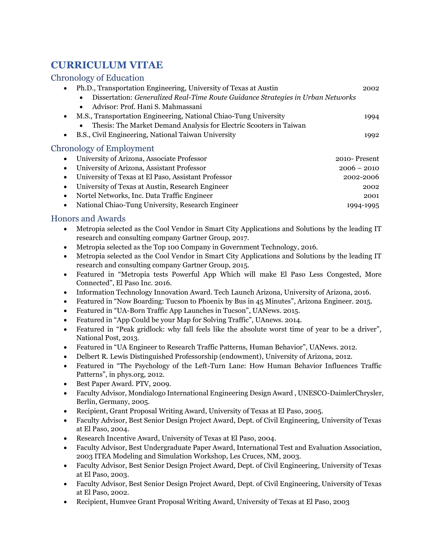## **CURRICULUM VITAE**

## Chronology of Education

| Ph.D., Transportation Engineering, University of Texas at Austin                             | 2002          |
|----------------------------------------------------------------------------------------------|---------------|
| Dissertation: Generalized Real-Time Route Guidance Strategies in Urban Networks<br>$\bullet$ |               |
| Advisor: Prof. Hani S. Mahmassani<br>$\bullet$                                               |               |
| M.S., Transportation Engineering, National Chiao-Tung University                             | 1994          |
| Thesis: The Market Demand Analysis for Electric Scooters in Taiwan<br>$\bullet$              |               |
| B.S., Civil Engineering, National Taiwan University                                          | 1992          |
| <b>Chronology of Employment</b>                                                              |               |
| University of Arizona, Associate Professor                                                   | 2010-Present  |
| University of Arizona, Assistant Professor                                                   | $2006 - 2010$ |
| University of Texas at El Paso, Assistant Professor<br>$\bullet$                             | 2002-2006     |
| University of Texas at Austin, Research Engineer<br>$\bullet$                                | 2002          |
| Nortel Networks, Inc. Data Traffic Engineer<br>$\bullet$                                     | 2001          |
| National Chiao-Tung University, Research Engineer                                            | 1994-1995     |

## Honors and Awards

- Metropia selected as the Cool Vendor in Smart City Applications and Solutions by the leading IT research and consulting company Gartner Group, 2017.
- Metropia selected as the Top 100 Company in Government Technology, 2016.
- Metropia selected as the Cool Vendor in Smart City Applications and Solutions by the leading IT research and consulting company Gartner Group, 2015.
- Featured in "Metropia tests Powerful App Which will make El Paso Less Congested, More Connected", El Paso Inc. 2016.
- Information Technology Innovation Award. Tech Launch Arizona, University of Arizona, 2016.
- Featured in "Now Boarding: Tucson to Phoenix by Bus in 45 Minutes", Arizona Engineer. 2015.
- Featured in "UA-Born Traffic App Launches in Tucson", UANews. 2015.
- Featured in "App Could be your Map for Solving Traffic", UAnews. 2014.
- Featured in "Peak gridlock: why fall feels like the absolute worst time of year to be a driver", National Post, 2013.
- Featured in "UA Engineer to Research Traffic Patterns, Human Behavior", UANews. 2012.
- Delbert R. Lewis Distinguished Professorship (endowment), University of Arizona, 2012.
- Featured in "The Psychology of the Left-Turn Lane: How Human Behavior Influences Traffic Patterns", in phys.org, 2012.
- Best Paper Award. PTV, 2009.
- Faculty Advisor, Mondialogo International Engineering Design Award , UNESCO-DaimlerChrysler, Berlin, Germany, 2005.
- Recipient, Grant Proposal Writing Award, University of Texas at El Paso, 2005.
- Faculty Advisor, Best Senior Design Project Award, Dept. of Civil Engineering, University of Texas at El Paso, 2004.
- Research Incentive Award, University of Texas at El Paso, 2004.
- Faculty Advisor, Best Undergraduate Paper Award, International Test and Evaluation Association, 2003 ITEA Modeling and Simulation Workshop, Les Cruces, NM, 2003.
- Faculty Advisor, Best Senior Design Project Award, Dept. of Civil Engineering, University of Texas at El Paso, 2003.
- Faculty Advisor, Best Senior Design Project Award, Dept. of Civil Engineering, University of Texas at El Paso, 2002.
- Recipient, Humvee Grant Proposal Writing Award, University of Texas at El Paso, 2003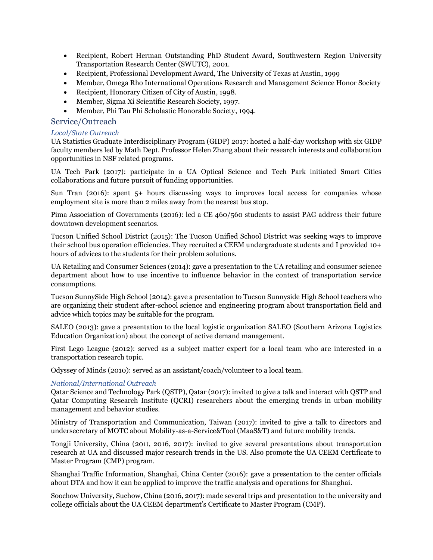- Recipient, Robert Herman Outstanding PhD Student Award, Southwestern Region University Transportation Research Center (SWUTC), 2001.
- Recipient, Professional Development Award, The University of Texas at Austin, 1999
- Member, Omega Rho International Operations Research and Management Science Honor Society
- Recipient, Honorary Citizen of City of Austin, 1998.
- Member, Sigma Xi Scientific Research Society, 1997.
- Member, Phi Tau Phi Scholastic Honorable Society, 1994.

#### Service/Outreach

#### *Local/State Outreach*

UA Statistics Graduate Interdisciplinary Program (GIDP) 2017: hosted a half-day workshop with six GIDP faculty members led by Math Dept. Professor Helen Zhang about their research interests and collaboration opportunities in NSF related programs.

UA Tech Park (2017): participate in a UA Optical Science and Tech Park initiated Smart Cities collaborations and future pursuit of funding opportunities.

Sun Tran (2016): spent 5+ hours discussing ways to improves local access for companies whose employment site is more than 2 miles away from the nearest bus stop.

Pima Association of Governments (2016): led a CE 460/560 students to assist PAG address their future downtown development scenarios.

Tucson Unified School District (2015): The Tucson Unified School District was seeking ways to improve their school bus operation efficiencies. They recruited a CEEM undergraduate students and I provided 10+ hours of advices to the students for their problem solutions.

UA Retailing and Consumer Sciences (2014): gave a presentation to the UA retailing and consumer science department about how to use incentive to influence behavior in the context of transportation service consumptions.

Tucson SunnySide High School (2014): gave a presentation to Tucson Sunnyside High School teachers who are organizing their student after-school science and engineering program about transportation field and advice which topics may be suitable for the program.

SALEO (2013): gave a presentation to the local logistic organization SALEO (Southern Arizona Logistics Education Organization) about the concept of active demand management.

First Lego League (2012): served as a subject matter expert for a local team who are interested in a transportation research topic.

Odyssey of Minds (2010): served as an assistant/coach/volunteer to a local team.

#### *National/International Outreach*

Qatar Science and Technology Park (QSTP), Qatar (2017): invited to give a talk and interact with QSTP and Qatar Computing Research Institute (QCRI) researchers about the emerging trends in urban mobility management and behavior studies.

Ministry of Transportation and Communication, Taiwan (2017): invited to give a talk to directors and undersecretary of MOTC about Mobility-as-a-Service&Tool (MaaS&T) and future mobility trends.

Tongji University, China (201t, 2016, 2017): invited to give several presentations about transportation research at UA and discussed major research trends in the US. Also promote the UA CEEM Certificate to Master Program (CMP) program.

Shanghai Traffic Information, Shanghai, China Center (2016): gave a presentation to the center officials about DTA and how it can be applied to improve the traffic analysis and operations for Shanghai.

Soochow University, Suchow, China (2016, 2017): made several trips and presentation to the university and college officials about the UA CEEM department's Certificate to Master Program (CMP).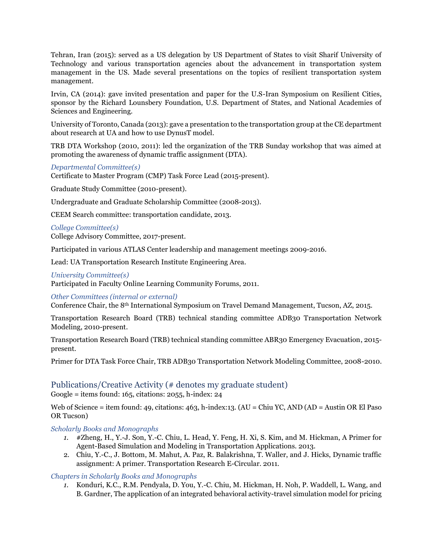Tehran, Iran (2015): served as a US delegation by US Department of States to visit Sharif University of Technology and various transportation agencies about the advancement in transportation system management in the US. Made several presentations on the topics of resilient transportation system management.

Irvin, CA (2014): gave invited presentation and paper for the U.S-Iran Symposium on Resilient Cities, sponsor by the Richard Lounsbery Foundation, U.S. Department of States, and National Academies of Sciences and Engineering.

University of Toronto, Canada (2013): gave a presentation to the transportation group at the CE department about research at UA and how to use DynusT model.

TRB DTA Workshop (2010, 2011): led the organization of the TRB Sunday workshop that was aimed at promoting the awareness of dynamic traffic assignment (DTA).

#### *Departmental Committee(s)*

Certificate to Master Program (CMP) Task Force Lead (2015-present).

Graduate Study Committee (2010-present).

Undergraduate and Graduate Scholarship Committee (2008-2013).

CEEM Search committee: transportation candidate, 2013.

#### *College Committee(s)*

College Advisory Committee, 2017-present.

Participated in various ATLAS Center leadership and management meetings 2009-2016.

Lead: UA Transportation Research Institute Engineering Area.

#### *University Committee(s)*

Participated in Faculty Online Learning Community Forums, 2011.

#### *Other Committees (internal or external)*

Conference Chair, the 8th International Symposium on Travel Demand Management, Tucson, AZ, 2015.

Transportation Research Board (TRB) technical standing committee ADB30 Transportation Network Modeling, 2010-present.

Transportation Research Board (TRB) technical standing committee ABR30 Emergency Evacuation, 2015 present.

Primer for DTA Task Force Chair, TRB ADB30 Transportation Network Modeling Committee, 2008-2010.

## Publications/Creative Activity (# denotes my graduate student)

Google = items found:  $165$ , citations:  $2055$ , h-index:  $24$ 

Web of Science = item found: 49, citations: 463, h-index:13. (AU = Chiu YC, AND (AD = Austin OR El Paso OR Tucson)

*Scholarly Books and Monographs*

- *1.* #Zheng, H., Y.-J. Son, Y.-C. Chiu, L. Head, Y. Feng, H. Xi, S. Kim, and M. Hickman, A Primer for Agent-Based Simulation and Modeling in Transportation Applications. 2013.
- 2. Chiu, Y.-C., J. Bottom, M. Mahut, A. Paz, R. Balakrishna, T. Waller, and J. Hicks, Dynamic traffic assignment: A primer. Transportation Research E-Circular. 2011.

*Chapters in Scholarly Books and Monographs*

*1.* Konduri, K.C., R.M. Pendyala, D. You, Y.-C. Chiu, M. Hickman, H. Noh, P. Waddell, L. Wang, and B. Gardner, The application of an integrated behavioral activity-travel simulation model for pricing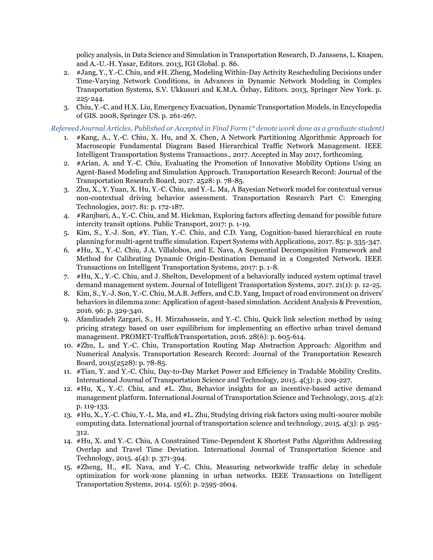policy analysis, in Data Science and Simulation in Transportation Research, D. Janssens, L. Knapen, and A.-U.-H. Yasar, Editors. 2013, IGI Global. p. 86.

- 2. #Jang, Y., Y.-C. Chiu, and #H. Zheng, Modeling Within-Day Activity Rescheduling Decisions under Time-Varying Network Conditions, in Advances in Dynamic Network Modeling in Complex Transportation Systems, S.V. Ukkusuri and K.M.A. Özbay, Editors. 2013, Springer New York. p. 225-244.
- 3. Chiu, Y.-C. and H.X. Liu, Emergency Evacuation, Dynamic Transportation Models, in Encyclopedia of GIS. 2008, Springer US. p. 261-267.

*Refereed Journal Articles, Published or Accepted in Final Form (\* denote work done as a graduate student)*

- 1. #Kang, A., Y.-C. Chiu, X. Hu, and X. Chen, A Network Partitioning Algorithmic Approach for Macroscopic Fundamental Diagram Based Hierarchical Traffic Network Management. IEEE Intelligent Transportation Systems Transactions., 2017. Accepted in May 2017, forthcoming.
- 2. #Arian, A. and Y.-C. Chiu, Evaluating the Promotion of Innovative Mobility Options Using an Agent-Based Modeling and Simulation Approach. Transportation Research Record: Journal of the Transportation Research Board, 2017. 2528: p. 78-85.
- 3. Zhu, X., Y. Yuan, X. Hu, Y.-C. Chiu, and Y.-L. Ma, A Bayesian Network model for contextual versus non-contextual driving behavior assessment. Transportation Research Part C: Emerging Technologies, 2017. 81: p. 172-187.
- 4. #Ranjbari, A., Y.-C. Chiu, and M. Hickman, Exploring factors affecting demand for possible future intercity transit options. Public Transport, 2017: p. 1-19.
- 5. Kim, S., Y.-J. Son, #Y. Tian, Y.-C. Chiu, and C.D. Yang, Cognition-based hierarchical en route planning for multi-agent traffic simulation. Expert Systems with Applications, 2017. 85: p. 335-347.
- 6. #Hu, X., Y.-C. Chiu, J.A. Villalobos, and E. Nava, A Sequential Decomposition Framework and Method for Calibrating Dynamic Origin-Destination Demand in a Congested Network. IEEE Transactions on Intelligent Transportation Systems, 2017: p. 1-8.
- 7. #Hu, X., Y.-C. Chiu, and J. Shelton, Development of a behaviorally induced system optimal travel demand management system. Journal of Intelligent Transportation Systems, 2017. 21(1): p. 12-25.
- 8. Kim, S., Y.-J. Son, Y.-C. Chiu, M.A.B. Jeffers, and C.D. Yang, Impact of road environment on drivers' behaviors in dilemma zone: Application of agent-based simulation. Accident Analysis & Prevention, 2016. 96: p. 329-340.
- 9. Afandizadeh Zargari, S., H. Mirzahossein, and Y.-C. Chiu, Quick link selection method by using pricing strategy based on user equilibrium for implementing an effective urban travel demand management. PROMET-Traffic&Transportation, 2016. 28(6): p. 605-614.
- 10. #Zhu, L. and Y.-C. Chiu, Transportation Routing Map Abstraction Approach: Algorithm and Numerical Analysis. Transportation Research Record: Journal of the Transportation Research Board, 2015(2528): p. 78-85.
- 11. #Tian, Y. and Y.-C. Chiu, Day-to-Day Market Power and Efficiency in Tradable Mobility Credits. International Journal of Transportation Science and Technology, 2015. 4(3): p. 209-227.
- 12. #Hu, X., Y.-C. Chiu, and #L. Zhu, Behavior insights for an incentive-based active demand management platform. International Journal of Transportation Science and Technology, 2015. 4(2): p. 119-133.
- 13. #Hu, X., Y.-C. Chiu, Y.-L. Ma, and #L. Zhu, Studying driving risk factors using multi-source mobile computing data. International journal of transportation science and technology, 2015. 4(3): p. 295- 312.
- 14. #Hu, X. and Y.-C. Chiu, A Constrained Time-Dependent K Shortest Paths Algorithm Addressing Overlap and Travel Time Deviation. International Journal of Transportation Science and Technology, 2015. 4(4): p. 371-394.
- 15. #Zheng, H., #E. Nava, and Y.-C. Chiu, Measuring networkwide traffic delay in schedule optimization for work-zone planning in urban networks. IEEE Transactions on Intelligent Transportation Systems, 2014. 15(6): p. 2595-2604.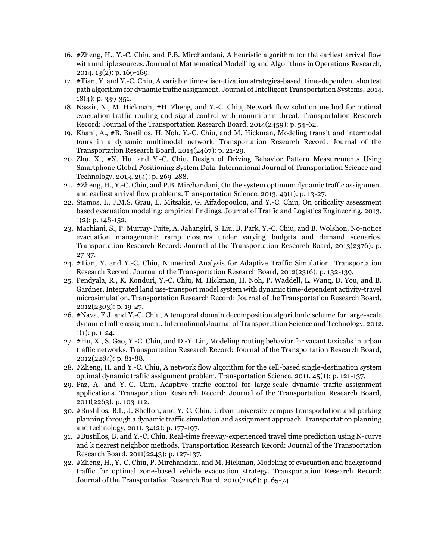- 16. #Zheng, H., Y.-C. Chiu, and P.B. Mirchandani, A heuristic algorithm for the earliest arrival flow with multiple sources. Journal of Mathematical Modelling and Algorithms in Operations Research, 2014. 13(2): p. 169-189.
- 17. #Tian, Y. and Y.-C. Chiu, A variable time-discretization strategies-based, time-dependent shortest path algorithm for dynamic traffic assignment. Journal of Intelligent Transportation Systems, 2014. 18(4): p. 339-351.
- 18. Nassir, N., M. Hickman, #H. Zheng, and Y.-C. Chiu, Network flow solution method for optimal evacuation traffic routing and signal control with nonuniform threat. Transportation Research Record: Journal of the Transportation Research Board, 2014(2459): p. 54-62.
- 19. Khani, A., #B. Bustillos, H. Noh, Y.-C. Chiu, and M. Hickman, Modeling transit and intermodal tours in a dynamic multimodal network. Transportation Research Record: Journal of the Transportation Research Board, 2014(2467): p. 21-29.
- 20. Zhu, X., #X. Hu, and Y.-C. Chiu, Design of Driving Behavior Pattern Measurements Using Smartphone Global Positioning System Data. International Journal of Transportation Science and Technology, 2013. 2(4): p. 269-288.
- 21. #Zheng, H., Y.-C. Chiu, and P.B. Mirchandani, On the system optimum dynamic traffic assignment and earliest arrival flow problems. Transportation Science, 2013. 49(1): p. 13-27.
- 22. Stamos, I., J.M.S. Grau, E. Mitsakis, G. Aifadopoulou, and Y.-C. Chiu, On criticality assessment based evacuation modeling: empirical findings. Journal of Traffic and Logistics Engineering, 2013. 1(2): p. 148-152.
- 23. Machiani, S., P. Murray-Tuite, A. Jahangiri, S. Liu, B. Park, Y.-C. Chiu, and B. Wolshon, No-notice evacuation management: ramp closures under varying budgets and demand scenarios. Transportation Research Record: Journal of the Transportation Research Board, 2013(2376): p. 27-37.
- 24. #Tian, Y. and Y.-C. Chiu, Numerical Analysis for Adaptive Traffic Simulation. Transportation Research Record: Journal of the Transportation Research Board, 2012(2316): p. 132-139.
- 25. Pendyala, R., K. Konduri, Y.-C. Chiu, M. Hickman, H. Noh, P. Waddell, L. Wang, D. You, and B. Gardner, Integrated land use-transport model system with dynamic time-dependent activity-travel microsimulation. Transportation Research Record: Journal of the Transportation Research Board, 2012(2303): p. 19-27.
- 26. #Nava, E.J. and Y.-C. Chiu, A temporal domain decomposition algorithmic scheme for large-scale dynamic traffic assignment. International Journal of Transportation Science and Technology, 2012.  $1(1)$ : p. 1-24.
- 27. #Hu, X., S. Gao, Y.-C. Chiu, and D.-Y. Lin, Modeling routing behavior for vacant taxicabs in urban traffic networks. Transportation Research Record: Journal of the Transportation Research Board, 2012(2284): p. 81-88.
- 28. #Zheng, H. and Y.-C. Chiu, A network flow algorithm for the cell-based single-destination system optimal dynamic traffic assignment problem. Transportation Science, 2011. 45(1): p. 121-137.
- 29. Paz, A. and Y.-C. Chiu, Adaptive traffic control for large-scale dynamic traffic assignment applications. Transportation Research Record: Journal of the Transportation Research Board, 2011(2263): p. 103-112.
- 30. #Bustillos, B.I., J. Shelton, and Y.-C. Chiu, Urban university campus transportation and parking planning through a dynamic traffic simulation and assignment approach. Transportation planning and technology, 2011. 34(2): p. 177-197.
- 31. #Bustillos, B. and Y.-C. Chiu, Real-time freeway-experienced travel time prediction using N-curve and k nearest neighbor methods. Transportation Research Record: Journal of the Transportation Research Board, 2011(2243): p. 127-137.
- 32. #Zheng, H., Y.-C. Chiu, P. Mirchandani, and M. Hickman, Modeling of evacuation and background traffic for optimal zone-based vehicle evacuation strategy. Transportation Research Record: Journal of the Transportation Research Board, 2010(2196): p. 65-74.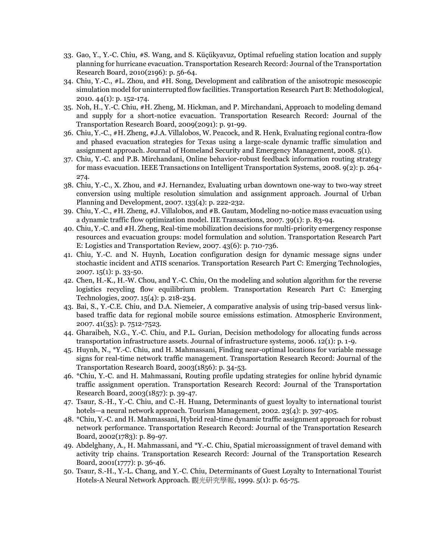- 33. Gao, Y., Y.-C. Chiu, #S. Wang, and S. Küçükyavuz, Optimal refueling station location and supply planning for hurricane evacuation. Transportation Research Record: Journal of the Transportation Research Board, 2010(2196): p. 56-64.
- 34. Chiu, Y.-C., #L. Zhou, and #H. Song, Development and calibration of the anisotropic mesoscopic simulation model for uninterrupted flow facilities. Transportation Research Part B: Methodological, 2010. 44(1): p. 152-174.
- 35. Noh, H., Y.-C. Chiu, #H. Zheng, M. Hickman, and P. Mirchandani, Approach to modeling demand and supply for a short-notice evacuation. Transportation Research Record: Journal of the Transportation Research Board, 2009(2091): p. 91-99.
- 36. Chiu, Y.-C., #H. Zheng, #J.A. Villalobos, W. Peacock, and R. Henk, Evaluating regional contra-flow and phased evacuation strategies for Texas using a large-scale dynamic traffic simulation and assignment approach. Journal of Homeland Security and Emergency Management, 2008. 5(1).
- 37. Chiu, Y.-C. and P.B. Mirchandani, Online behavior-robust feedback information routing strategy for mass evacuation. IEEE Transactions on Intelligent Transportation Systems, 2008. 9(2): p. 264- 274.
- 38. Chiu, Y.-C., X. Zhou, and #J. Hernandez, Evaluating urban downtown one-way to two-way street conversion using multiple resolution simulation and assignment approach. Journal of Urban Planning and Development, 2007. 133(4): p. 222-232.
- 39. Chiu, Y.-C., #H. Zheng, #J. Villalobos, and #B. Gautam, Modeling no-notice mass evacuation using a dynamic traffic flow optimization model. IIE Transactions, 2007. 39(1): p. 83-94.
- 40. Chiu, Y.-C. and #H. Zheng, Real-time mobilization decisions for multi-priority emergency response resources and evacuation groups: model formulation and solution. Transportation Research Part E: Logistics and Transportation Review, 2007. 43(6): p. 710-736.
- 41. Chiu, Y.-C. and N. Huynh, Location configuration design for dynamic message signs under stochastic incident and ATIS scenarios. Transportation Research Part C: Emerging Technologies, 2007. 15(1): p. 33-50.
- 42. Chen, H.-K., H.-W. Chou, and Y.-C. Chiu, On the modeling and solution algorithm for the reverse logistics recycling flow equilibrium problem. Transportation Research Part C: Emerging Technologies, 2007. 15(4): p. 218-234.
- 43. Bai, S., Y.-C.E. Chiu, and D.A. Niemeier, A comparative analysis of using trip-based versus linkbased traffic data for regional mobile source emissions estimation. Atmospheric Environment, 2007. 41(35): p. 7512-7523.
- 44. Gharaibeh, N.G., Y.-C. Chiu, and P.L. Gurian, Decision methodology for allocating funds across transportation infrastructure assets. Journal of infrastructure systems, 2006. 12(1): p. 1-9.
- 45. Huynh, N., \*Y.-C. Chiu, and H. Mahmassani, Finding near-optimal locations for variable message signs for real-time network traffic management. Transportation Research Record: Journal of the Transportation Research Board, 2003(1856): p. 34-53.
- 46. \*Chiu, Y.-C. and H. Mahmassani, Routing profile updating strategies for online hybrid dynamic traffic assignment operation. Transportation Research Record: Journal of the Transportation Research Board, 2003(1857): p. 39-47.
- 47. Tsaur, S.-H., Y.-C. Chiu, and C.-H. Huang, Determinants of guest loyalty to international tourist hotels—a neural network approach. Tourism Management, 2002. 23(4): p. 397-405.
- 48. \*Chiu, Y.-C. and H. Mahmassani, Hybrid real-time dynamic traffic assignment approach for robust network performance. Transportation Research Record: Journal of the Transportation Research Board, 2002(1783): p. 89-97.
- 49. Abdelghany, A., H. Mahmassani, and \*Y.-C. Chiu, Spatial microassignment of travel demand with activity trip chains. Transportation Research Record: Journal of the Transportation Research Board, 2001(1777): p. 36-46.
- 50. Tsaur, S.-H., Y.-L. Chang, and Y.-C. Chiu, Determinants of Guest Loyalty to International Tourist Hotels-A Neural Network Approach. 觀光研究學報, 1999. 5(1): p. 65-75.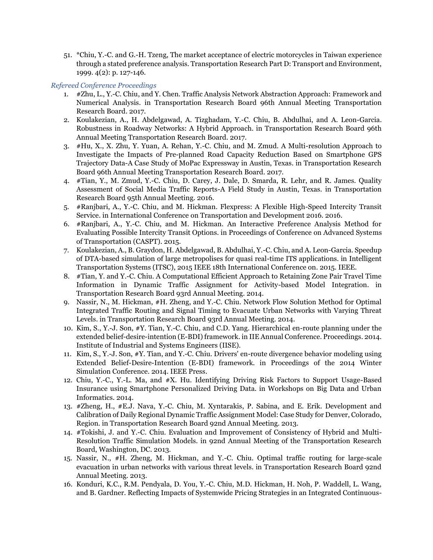51. \*Chiu, Y.-C. and G.-H. Tzeng, The market acceptance of electric motorcycles in Taiwan experience through a stated preference analysis. Transportation Research Part D: Transport and Environment, 1999. 4(2): p. 127-146.

#### *Refereed Conference Proceedings*

- 1. #Zhu, L., Y.-C. Chiu, and Y. Chen. Traffic Analysis Network Abstraction Approach: Framework and Numerical Analysis. in Transportation Research Board 96th Annual Meeting Transportation Research Board. 2017.
- 2. Koulakezian, A., H. Abdelgawad, A. Tizghadam, Y.-C. Chiu, B. Abdulhai, and A. Leon-Garcia. Robustness in Roadway Networks: A Hybrid Approach. in Transportation Research Board 96th Annual Meeting Transportation Research Board. 2017.
- 3. #Hu, X., X. Zhu, Y. Yuan, A. Rehan, Y.-C. Chiu, and M. Zmud. A Multi-resolution Approach to Investigate the Impacts of Pre-planned Road Capacity Reduction Based on Smartphone GPS Trajectory Data-A Case Study of MoPac Expressway in Austin, Texas. in Transportation Research Board 96th Annual Meeting Transportation Research Board. 2017.
- 4. #Tian, Y., M. Zmud, Y.-C. Chiu, D. Carey, J. Dale, D. Smarda, R. Lehr, and R. James. Quality Assessment of Social Media Traffic Reports-A Field Study in Austin, Texas. in Transportation Research Board 95th Annual Meeting. 2016.
- 5. #Ranjbari, A., Y.-C. Chiu, and M. Hickman. Flexpress: A Flexible High-Speed Intercity Transit Service. in International Conference on Transportation and Development 2016. 2016.
- 6. #Ranjbari, A., Y.-C. Chiu, and M. Hickman. An Interactive Preference Analysis Method for Evaluating Possible Intercity Transit Options. in Proceedings of Conference on Advanced Systems of Transportation (CASPT). 2015.
- 7. Koulakezian, A., B. Graydon, H. Abdelgawad, B. Abdulhai, Y.-C. Chiu, and A. Leon-Garcia. Speedup of DTA-based simulation of large metropolises for quasi real-time ITS applications. in Intelligent Transportation Systems (ITSC), 2015 IEEE 18th International Conference on. 2015. IEEE.
- 8. #Tian, Y. and Y.-C. Chiu. A Computational Efficient Approach to Retaining Zone Pair Travel Time Information in Dynamic Traffic Assignment for Activity-based Model Integration. in Transportation Research Board 93rd Annual Meeting. 2014.
- 9. Nassir, N., M. Hickman, #H. Zheng, and Y.-C. Chiu. Network Flow Solution Method for Optimal Integrated Traffic Routing and Signal Timing to Evacuate Urban Networks with Varying Threat Levels. in Transportation Research Board 93rd Annual Meeting. 2014.
- 10. Kim, S., Y.-J. Son, #Y. Tian, Y.-C. Chiu, and C.D. Yang. Hierarchical en-route planning under the extended belief-desire-intention (E-BDI) framework. in IIE Annual Conference. Proceedings. 2014. Institute of Industrial and Systems Engineers (IISE).
- 11. Kim, S., Y.-J. Son, #Y. Tian, and Y.-C. Chiu. Drivers' en-route divergence behavior modeling using Extended Belief-Desire-Intention (E-BDI) framework. in Proceedings of the 2014 Winter Simulation Conference. 2014. IEEE Press.
- 12. Chiu, Y.-C., Y.-L. Ma, and #X. Hu. Identifying Driving Risk Factors to Support Usage-Based Insurance using Smartphone Personalized Driving Data. in Workshops on Big Data and Urban Informatics. 2014.
- 13. #Zheng, H., #E.J. Nava, Y.-C. Chiu, M. Xyntarakis, P. Sabina, and E. Erik. Development and Calibration of Daily Regional Dynamic Traffic Assignment Model: Case Study for Denver, Colorado, Region. in Transportation Research Board 92nd Annual Meeting. 2013.
- 14. #Tokishi, J. and Y.-C. Chiu. Evaluation and Improvement of Consistency of Hybrid and Multi-Resolution Traffic Simulation Models. in 92nd Annual Meeting of the Transportation Research Board, Washington, DC. 2013.
- 15. Nassir, N., #H. Zheng, M. Hickman, and Y.-C. Chiu. Optimal traffic routing for large-scale evacuation in urban networks with various threat levels. in Transportation Research Board 92nd Annual Meeting. 2013.
- 16. Konduri, K.C., R.M. Pendyala, D. You, Y.-C. Chiu, M.D. Hickman, H. Noh, P. Waddell, L. Wang, and B. Gardner. Reflecting Impacts of Systemwide Pricing Strategies in an Integrated Continuous-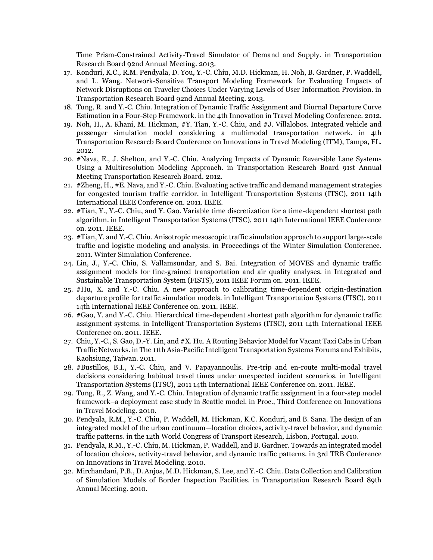Time Prism-Constrained Activity-Travel Simulator of Demand and Supply. in Transportation Research Board 92nd Annual Meeting. 2013.

- 17. Konduri, K.C., R.M. Pendyala, D. You, Y.-C. Chiu, M.D. Hickman, H. Noh, B. Gardner, P. Waddell, and L. Wang. Network-Sensitive Transport Modeling Framework for Evaluating Impacts of Network Disruptions on Traveler Choices Under Varying Levels of User Information Provision. in Transportation Research Board 92nd Annual Meeting. 2013.
- 18. Tung, R. and Y.-C. Chiu. Integration of Dynamic Traffic Assignment and Diurnal Departure Curve Estimation in a Four-Step Framework. in the 4th Innovation in Travel Modeling Conference. 2012.
- 19. Noh, H., A. Khani, M. Hickman, #Y. Tian, Y.-C. Chiu, and #J. Villalobos. Integrated vehicle and passenger simulation model considering a multimodal transportation network. in 4th Transportation Researcb Board Conference on Innovations in Travel Modeling (ITM), Tampa, FL. 2012.
- 20. #Nava, E., J. Shelton, and Y.-C. Chiu. Analyzing Impacts of Dynamic Reversible Lane Systems Using a Multiresolution Modeling Approach. in Transportation Research Board 91st Annual Meeting Transportation Research Board. 2012.
- 21. #Zheng, H., #E. Nava, and Y.-C. Chiu. Evaluating active traffic and demand management strategies for congested tourism traffic corridor. in Intelligent Transportation Systems (ITSC), 2011 14th International IEEE Conference on. 2011. IEEE.
- 22. #Tian, Y., Y.-C. Chiu, and Y. Gao. Variable time discretization for a time-dependent shortest path algorithm. in Intelligent Transportation Systems (ITSC), 2011 14th International IEEE Conference on. 2011. IEEE.
- 23. #Tian, Y. and Y.-C. Chiu. Anisotropic mesoscopic traffic simulation approach to support large-scale traffic and logistic modeling and analysis. in Proceedings of the Winter Simulation Conference. 2011. Winter Simulation Conference.
- 24. Lin, J., Y.-C. Chiu, S. Vallamsundar, and S. Bai. Integration of MOVES and dynamic traffic assignment models for fine-grained transportation and air quality analyses. in Integrated and Sustainable Transportation System (FISTS), 2011 IEEE Forum on. 2011. IEEE.
- 25. #Hu, X. and Y.-C. Chiu. A new approach to calibrating time-dependent origin-destination departure profile for traffic simulation models. in Intelligent Transportation Systems (ITSC), 2011 14th International IEEE Conference on. 2011. IEEE.
- 26. #Gao, Y. and Y.-C. Chiu. Hierarchical time-dependent shortest path algorithm for dynamic traffic assignment systems. in Intelligent Transportation Systems (ITSC), 2011 14th International IEEE Conference on. 2011. IEEE.
- 27. Chiu, Y.-C., S. Gao, D.-Y. Lin, and #X. Hu. A Routing Behavior Model for Vacant Taxi Cabs in Urban Traffic Networks. in The 11th Asia-Pacific Intelligent Transportation Systems Forums and Exhibits, Kaohsiung, Taiwan. 2011.
- 28. #Bustillos, B.I., Y.-C. Chiu, and V. Papayannoulis. Pre-trip and en-route multi-modal travel decisions considering habitual travel times under unexpected incident scenarios. in Intelligent Transportation Systems (ITSC), 2011 14th International IEEE Conference on. 2011. IEEE.
- 29. Tung, R., Z. Wang, and Y.-C. Chiu. Integration of dynamic traffic assignment in a four-step model framework–a deployment case study in Seattle model. in Proc., Third Conference on Innovations in Travel Modeling. 2010.
- 30. Pendyala, R.M., Y.-C. Chiu, P. Waddell, M. Hickman, K.C. Konduri, and B. Sana. The design of an integrated model of the urban continuum—location choices, activity-travel behavior, and dynamic traffic patterns. in the 12th World Congress of Transport Research, Lisbon, Portugal. 2010.
- 31. Pendyala, R.M., Y.-C. Chiu, M. Hickman, P. Waddell, and B. Gardner. Towards an integrated model of location choices, activity-travel behavior, and dynamic traffic patterns. in 3rd TRB Conference on Innovations in Travel Modeling. 2010.
- 32. Mirchandani, P.B., D. Anjos, M.D. Hickman, S. Lee, and Y.-C. Chiu. Data Collection and Calibration of Simulation Models of Border Inspection Facilities. in Transportation Research Board 89th Annual Meeting. 2010.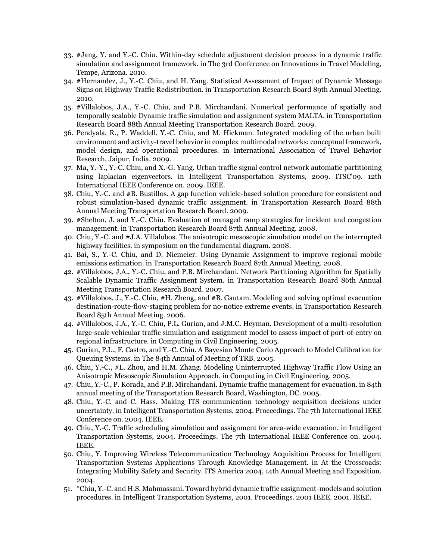- 33. #Jang, Y. and Y.-C. Chiu. Within-day schedule adjustment decision process in a dynamic traffic simulation and assignment framework. in The 3rd Conference on Innovations in Travel Modeling, Tempe, Arizona. 2010.
- 34. #Hernandez, J., Y.-C. Chiu, and H. Yang. Statistical Assessment of Impact of Dynamic Message Signs on Highway Traffic Redistribution. in Transportation Research Board 89th Annual Meeting. 2010.
- 35. #Villalobos, J.A., Y.-C. Chiu, and P.B. Mirchandani. Numerical performance of spatially and temporally scalable Dynamic traffic simulation and assignment system MALTA. in Transportation Research Board 88th Annual Meeting Transportation Research Board. 2009.
- 36. Pendyala, R., P. Waddell, Y.-C. Chiu, and M. Hickman. Integrated modeling of the urban built environment and activity-travel behavior in complex multimodal networks: conceptual framework, model design, and operational procedures. in International Association of Travel Behavior Research, Jaipur, India. 2009.
- 37. Ma, Y.-Y., Y.-C. Chiu, and X.-G. Yang. Urban traffic signal control network automatic partitioning using laplacian eigenvectors. in Intelligent Transportation Systems, 2009. ITSC'09. 12th International IEEE Conference on. 2009. IEEE.
- 38. Chiu, Y.-C. and #B. Bustillos. A gap function vehicle-based solution procedure for consistent and robust simulation-based dynamic traffic assignment. in Transportation Research Board 88th Annual Meeting Transportation Research Board. 2009.
- 39. #Shelton, J. and Y.-C. Chiu. Evaluation of managed ramp strategies for incident and congestion management. in Transportation Research Board 87th Annual Meeting. 2008.
- 40. Chiu, Y.-C. and #J.A. Villalobos. The anisotropic mesoscopic simulation model on the interrupted highway facilities. in symposium on the fundamental diagram. 2008.
- 41. Bai, S., Y.-C. Chiu, and D. Niemeier. Using Dynamic Assignment to improve regional mobile emissions estimation. in Transportation Research Board 87th Annual Meeting. 2008.
- 42. #Villalobos, J.A., Y.-C. Chiu, and P.B. Mirchandani. Network Partitioning Algorithm for Spatially Scalable Dynamic Traffic Assignment System. in Transportation Research Board 86th Annual Meeting Transportation Research Board. 2007.
- 43. #Villalobos, J., Y.-C. Chiu, #H. Zheng, and #B. Gautam. Modeling and solving optimal evacuation destination-route-flow-staging problem for no-notice extreme events. in Transportation Research Board 85th Annual Meeting. 2006.
- 44. #Villalobos, J.A., Y.-C. Chiu, P.L. Gurian, and J.M.C. Heyman. Development of a multi-resolution large-scale vehicular traffic simulation and assignment model to assess impact of port-of-entry on regional infrastructure. in Computing in Civil Engineering. 2005.
- 45. Gurian, P.L., F. Castro, and Y.-C. Chiu. A Bayesian Monte Carlo Approach to Model Calibration for Queuing Systems. in The 84th Annual of Meeting of TRB. 2005.
- 46. Chiu, Y.-C., #L. Zhou, and H.M. Zhang. Modeling Uninterrupted Highway Traffic Flow Using an Anisotropic Mesoscopic Simulation Approach. in Computing in Civil Engineering. 2005.
- 47. Chiu, Y.-C., P. Korada, and P.B. Mirchandani. Dynamic traffic management for evacuation. in 84th annual meeting of the Transportation Research Board, Washington, DC. 2005.
- 48. Chiu, Y.-C. and C. Hass. Making ITS communication technology acquisition decisions under uncertainty. in Intelligent Transportation Systems, 2004. Proceedings. The 7th International IEEE Conference on. 2004. IEEE.
- 49. Chiu, Y.-C. Traffic scheduling simulation and assignment for area-wide evacuation. in Intelligent Transportation Systems, 2004. Proceedings. The 7th International IEEE Conference on. 2004. IEEE.
- 50. Chiu, Y. Improving Wireless Telecommunication Technology Acquisition Process for Intelligent Transportation Systems Applications Through Knowledge Management. in At the Crossroads: Integrating Mobility Safety and Security. ITS America 2004, 14th Annual Meeting and Exposition. 2004.
- 51. \*Chiu, Y.-C. and H.S. Mahmassani. Toward hybrid dynamic traffic assignment-models and solution procedures. in Intelligent Transportation Systems, 2001. Proceedings. 2001 IEEE. 2001. IEEE.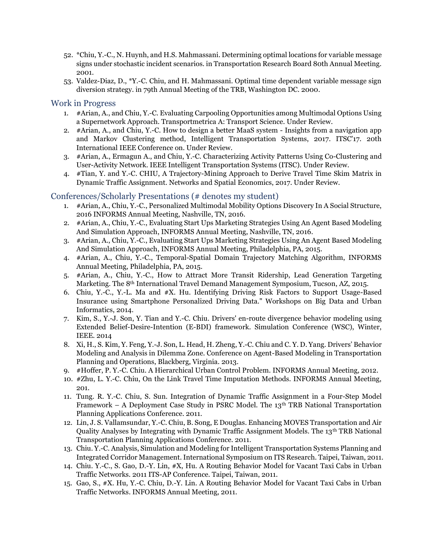- 52. \*Chiu, Y.-C., N. Huynh, and H.S. Mahmassani. Determining optimal locations for variable message signs under stochastic incident scenarios. in Transportation Research Board 80th Annual Meeting. 2001.
- 53. Valdez-Diaz, D., \*Y.-C. Chiu, and H. Mahmassani. Optimal time dependent variable message sign diversion strategy. in 79th Annual Meeting of the TRB, Washington DC. 2000.

#### Work in Progress

- 1. #Arian, A., and Chiu, Y.-C. Evaluating Carpooling Opportunities among Multimodal Options Using a Supernetwork Approach. Transportmetrica A: Transport Science. Under Review.
- 2. #Arian, A., and Chiu, Y.-C. How to design a better MaaS system Insights from a navigation app and Markov Clustering method, Intelligent Transportation Systems, 2017. ITSC'17. 20th International IEEE Conference on. Under Review.
- 3. #Arian, A., Ermagun A., and Chiu, Y.-C. Characterizing Activity Patterns Using Co-Clustering and User-Activity Network. IEEE Intelligent Transportation Systems (ITSC). Under Review.
- 4. #Tian, Y. and Y.-C. CHIU, A Trajectory-Mining Approach to Derive Travel Time Skim Matrix in Dynamic Traffic Assignment. Networks and Spatial Economics, 2017. Under Review.

#### Conferences/Scholarly Presentations (# denotes my student)

- 1. #Arian, A., Chiu, Y.-C., Personalized Multimodal Mobility Options Discovery In A Social Structure, 2016 INFORMS Annual Meeting, Nashville, TN, 2016.
- 2. #Arian, A., Chiu, Y.-C., Evaluating Start Ups Marketing Strategies Using An Agent Based Modeling And Simulation Approach, INFORMS Annual Meeting, Nashville, TN, 2016.
- 3. #Arian, A., Chiu, Y.-C., Evaluating Start Ups Marketing Strategies Using An Agent Based Modeling And Simulation Approach, INFORMS Annual Meeting, Philadelphia, PA, 2015.
- 4. #Arian, A., Chiu, Y.-C., Temporal-Spatial Domain Trajectory Matching Algorithm, INFORMS Annual Meeting, Philadelphia, PA, 2015.
- 5. #Arian, A., Chiu, Y.-C., How to Attract More Transit Ridership, Lead Generation Targeting Marketing. The 8th International Travel Demand Management Symposium, Tucson, AZ, 2015.
- 6. Chiu, Y.-C., Y.-L. Ma and #X. Hu. Identifying Driving Risk Factors to Support Usage-Based Insurance using Smartphone Personalized Driving Data." Workshops on Big Data and Urban Informatics, 2014.
- 7. Kim, S., Y.-J. Son, Y. Tian and Y.-C. Chiu. Drivers' en-route divergence behavior modeling using Extended Belief-Desire-Intention (E-BDI) framework. Simulation Conference (WSC), Winter, IEEE. 2014
- 8. Xi, H., S. Kim, Y. Feng, Y.-J. Son, L. Head, H. Zheng, Y.-C. Chiu and C. Y. D. Yang. Drivers' Behavior Modeling and Analysis in Dilemma Zone. Conference on Agent-Based Modeling in Transportation Planning and Operations, Blackberg, Virginia. 2013.
- 9. #Hoffer, P. Y.-C. Chiu. A Hierarchical Urban Control Problem. INFORMS Annual Meeting, 2012.
- 10. #Zhu, L. Y.-C. Chiu, On the Link Travel Time Imputation Methods. INFORMS Annual Meeting, 201.
- 11. Tung. R. Y.-C. Chiu, S. Sun. Integration of Dynamic Traffic Assignment in a Four-Step Model Framework – A Deployment Case Study in PSRC Model. The  $13<sup>th</sup> TRB$  National Transportation Planning Applications Conference. 2011.
- 12. Lin, J. S. Vallamsundar, Y.-C. Chiu, B. Song, E Douglas. Enhancing MOVES Transportation and Air Quality Analyses by Integrating with Dynamic Traffic Assignment Models. The 13th TRB National Transportation Planning Applications Conference. 2011.
- 13. Chiu. Y.-C. Analysis, Simulation and Modeling for Intelligent Transportation Systems Planning and Integrated Corridor Management. International Symposium on ITS Research. Taipei, Taiwan, 2011.
- 14. Chiu. Y.-C., S. Gao, D.-Y. Lin, #X, Hu. A Routing Behavior Model for Vacant Taxi Cabs in Urban Traffic Networks. 2011 ITS-AP Conference. Taipei, Taiwan, 2011.
- 15. Gao, S., #X. Hu, Y.-C. Chiu, D.-Y. Lin. A Routing Behavior Model for Vacant Taxi Cabs in Urban Traffic Networks. INFORMS Annual Meeting, 2011.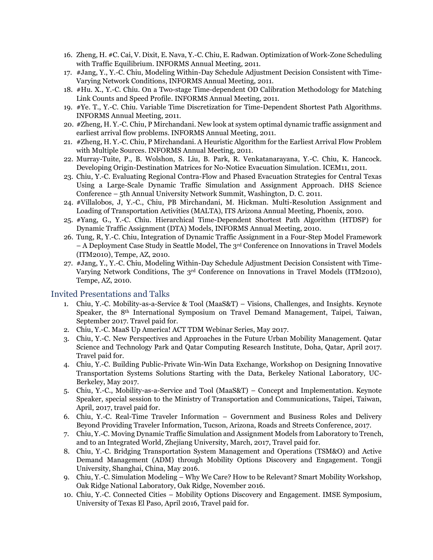- 16. Zheng, H. #C. Cai, V. Dixit, E. Nava, Y.-C. Chiu, E. Radwan. Optimization of Work-Zone Scheduling with Traffic Equilibrium. INFORMS Annual Meeting, 2011.
- 17. #Jang, Y., Y.-C. Chiu, Modeling Within-Day Schedule Adjustment Decision Consistent with Time-Varying Network Conditions, INFORMS Annual Meeting, 2011.
- 18. #Hu. X., Y.-C. Chiu. On a Two-stage Time-dependent OD Calibration Methodology for Matching Link Counts and Speed Profile. INFORMS Annual Meeting, 2011.
- 19. #Ye. T., Y.-C. Chiu. Variable Time Discretization for Time-Dependent Shortest Path Algorithms. INFORMS Annual Meeting, 2011.
- 20. #Zheng, H. Y.-C. Chiu, P Mirchandani. New look at system optimal dynamic traffic assignment and earliest arrival flow problems. INFORMS Annual Meeting, 2011.
- 21. #Zheng, H. Y.-C. Chiu, P Mirchandani. A Heuristic Algorithm for the Earliest Arrival Flow Problem with Multiple Sources. INFORMS Annual Meeting, 2011.
- 22. Murray-Tuite, P., B. Wolshon, S. Liu, B. Park, R. Venkatanarayana, Y.-C. Chiu, K. Hancock. Developing Origin-Destination Matrices for No-Notice Evacuation Simulation. ICEM11, 2011.
- 23. Chiu, Y.-C. Evaluating Regional Contra-Flow and Phased Evacuation Strategies for Central Texas Using a Large-Scale Dynamic Traffic Simulation and Assignment Approach. DHS Science Conference – 5th Annual University Network Summit, Washington, D. C. 2011.
- 24. #Villalobos, J, Y.-C., Chiu, PB Mirchandani, M. Hickman. Multi-Resolution Assignment and Loading of Transportation Activities (MALTA), ITS Arizona Annual Meeting, Phoenix, 2010.
- 25. #Yang, G., Y.-C. Chiu. Hierarchical Time-Dependent Shortest Path Algorithm (HTDSP) for Dynamic Traffic Assignment (DTA) Models, INFORMS Annual Meeting, 2010.
- 26. Tung, R, Y.-C. Chiu, Integration of Dynamic Traffic Assignment in a Four-Step Model Framework – A Deployment Case Study in Seattle Model, The 3<sup>rd</sup> Conference on Innovations in Travel Models (ITM2010), Tempe, AZ, 2010.
- 27. #Jang, Y., Y.-C. Chiu, Modeling Within-Day Schedule Adjustment Decision Consistent with Time-Varying Network Conditions, The 3rd Conference on Innovations in Travel Models (ITM2010), Tempe, AZ, 2010.

## Invited Presentations and Talks

- 1. Chiu, Y.-C. Mobility-as-a-Service & Tool (MaaS&T) Visions, Challenges, and Insights. Keynote Speaker, the 8th International Symposium on Travel Demand Management, Taipei, Taiwan, September 2017. Travel paid for.
- 2. Chiu, Y.-C. MaaS Up America! ACT TDM Webinar Series, May 2017.
- 3. Chiu, Y.-C. New Perspectives and Approaches in the Future Urban Mobility Management. Qatar Science and Technology Park and Qatar Computing Research Institute, Doha, Qatar, April 2017. Travel paid for.
- 4. Chiu, Y.-C. Building Public-Private Win-Win Data Exchange, Workshop on Designing Innovative Transportation Systems Solutions Starting with the Data, Berkeley National Laboratory, UC-Berkeley, May 2017.
- 5. Chiu, Y.-C., Mobility-as-a-Service and Tool (MaaS&T) Concept and Implementation. Keynote Speaker, special session to the Ministry of Transportation and Communications, Taipei, Taiwan, April, 2017, travel paid for.
- 6. Chiu, Y.-C. Real-Time Traveler Information Government and Business Roles and Delivery Beyond Providing Traveler Information, Tucson, Arizona, Roads and Streets Conference, 2017.
- 7. Chiu, Y.-C. Moving Dynamic Traffic Simulation and Assignment Models from Laboratory to Trench, and to an Integrated World, Zhejiang University, March, 2017, Travel paid for.
- 8. Chiu, Y.-C. Bridging Transportation System Management and Operations (TSM&O) and Active Demand Management (ADM) through Mobility Options Discovery and Engagement. Tongji University, Shanghai, China, May 2016.
- 9. Chiu, Y.-C. Simulation Modeling Why We Care? How to be Relevant? Smart Mobility Workshop, Oak Ridge National Laboratory, Oak Ridge, November 2016.
- 10. Chiu, Y.-C. Connected Cities Mobility Options Discovery and Engagement. IMSE Symposium, University of Texas El Paso, April 2016, Travel paid for.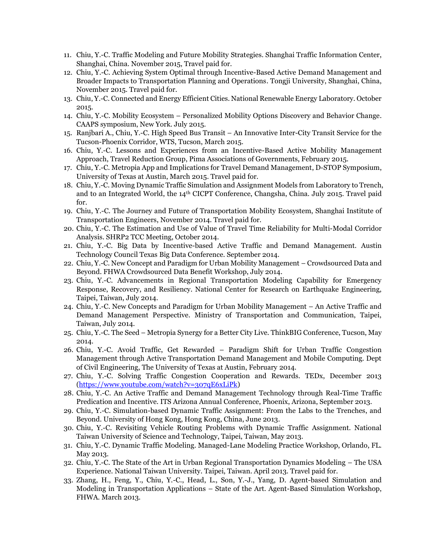- 11. Chiu, Y.-C. Traffic Modeling and Future Mobility Strategies. Shanghai Traffic Information Center, Shanghai, China. November 2015, Travel paid for.
- 12. Chiu, Y.-C. Achieving System Optimal through Incentive-Based Active Demand Management and Broader Impacts to Transportation Planning and Operations. Tongji University, Shanghai, China, November 2015. Travel paid for.
- 13. Chiu, Y.-C. Connected and Energy Efficient Cities. National Renewable Energy Laboratory. October 2015.
- 14. Chiu, Y.-C. Mobility Ecosystem Personalized Mobility Options Discovery and Behavior Change. CAAPS symposium, New York. July 2015.
- 15. Ranjbari A., Chiu, Y.-C. High Speed Bus Transit An Innovative Inter-City Transit Service for the Tucson-Phoenix Corridor, WTS, Tucson, March 2015.
- 16. Chiu, Y.-C. Lessons and Experiences from an Incentive-Based Active Mobility Management Approach, Travel Reduction Group, Pima Associations of Governments, February 2015.
- 17. Chiu, Y.-C. Metropia App and Implications for Travel Demand Management, D-STOP Symposium, University of Texas at Austin, March 2015. Travel paid for.
- 18. Chiu, Y.-C. Moving Dynamic Traffic Simulation and Assignment Models from Laboratory to Trench, and to an Integrated World, the 14<sup>th</sup> CICPT Conference, Changsha, China. July 2015. Travel paid for.
- 19. Chiu, Y.-C. The Journey and Future of Transportation Mobility Ecosystem, Shanghai Institute of Transportation Engineers, November 2014. Travel paid for.
- 20. Chiu, Y.-C. The Estimation and Use of Value of Travel Time Reliability for Multi-Modal Corridor Analysis. SHRP2 TCC Meeting, October 2014.
- 21. Chiu, Y.-C. Big Data by Incentive-based Active Traffic and Demand Management. Austin Technology Council Texas Big Data Conference. September 2014.
- 22. Chiu, Y.-C. New Concept and Paradigm for Urban Mobility Management Crowdsourced Data and Beyond. FHWA Crowdsourced Data Benefit Workshop, July 2014.
- 23. Chiu, Y.-C. Advancements in Regional Transportation Modeling Capability for Emergency Response, Recovery, and Resiliency. National Center for Research on Earthquake Engineering, Taipei, Taiwan, July 2014.
- 24. Chiu, Y.-C. New Concepts and Paradigm for Urban Mobility Management An Active Traffic and Demand Management Perspective. Ministry of Transportation and Communication, Taipei, Taiwan, July 2014.
- 25. Chiu, Y.-C. The Seed Metropia Synergy for a Better City Live. ThinkBIG Conference, Tucson, May 2014.
- 26. Chiu, Y.-C. Avoid Traffic, Get Rewarded Paradigm Shift for Urban Traffic Congestion Management through Active Transportation Demand Management and Mobile Computing. Dept of Civil Engineering, The University of Texas at Austin, February 2014.
- 27. Chiu, Y.-C. Solving Traffic Congestion Cooperation and Rewards. TEDx, December 2013 [\(https://www.youtube.com/watch?v=307qE6xLiPk\)](https://www.youtube.com/watch?v=307qE6xLiPk)
- 28. Chiu, Y.-C. An Active Traffic and Demand Management Technology through Real-Time Traffic Predication and Incentive. ITS Arizona Annual Conference, Phoenix, Arizona, September 2013.
- 29. Chiu, Y.-C. Simulation-based Dynamic Traffic Assignment: From the Labs to the Trenches, and Beyond. University of Hong Kong, Hong Kong, China, June 2013.
- 30. Chiu, Y.-C. Revisiting Vehicle Routing Problems with Dynamic Traffic Assignment. National Taiwan University of Science and Technology, Taipei, Taiwan, May 2013.
- 31. Chiu, Y.-C. Dynamic Traffic Modeling. Managed-Lane Modeling Practice Workshop, Orlando, FL. May 2013.
- 32. Chiu, Y.-C. The State of the Art in Urban Regional Transportation Dynamics Modeling The USA Experience. National Taiwan University. Taipei, Taiwan. April 2013. Travel paid for.
- 33. Zhang, H., Feng, Y., Chiu, Y.-C., Head, L., Son, Y.-J., Yang, D. Agent-based Simulation and Modeling in Transportation Applications – State of the Art. Agent-Based Simulation Workshop, FHWA. March 2013.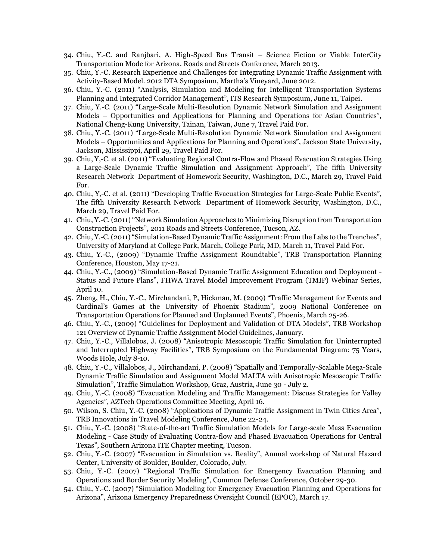- 34. Chiu, Y.-C. and Ranjbari, A. High-Speed Bus Transit Science Fiction or Viable InterCity Transportation Mode for Arizona. Roads and Streets Conference, March 2013.
- 35. Chiu, Y.-C. Research Experience and Challenges for Integrating Dynamic Traffic Assignment with Activity-Based Model. 2012 DTA Symposium, Martha's Vineyard, June 2012.
- 36. Chiu, Y.-C. (2011) "Analysis, Simulation and Modeling for Intelligent Transportation Systems Planning and Integrated Corridor Management", ITS Research Symposium, June 11, Taipei.
- 37. Chiu, Y.-C. (2011) "Large-Scale Multi-Resolution Dynamic Network Simulation and Assignment Models – Opportunities and Applications for Planning and Operations for Asian Countries", National Cheng-Kung University, Tainan, Taiwan, June 7, Travel Paid For.
- 38. Chiu, Y.-C. (2011) "Large-Scale Multi-Resolution Dynamic Network Simulation and Assignment Models – Opportunities and Applications for Planning and Operations", Jackson State University, Jackson, Mississippi, April 29, Travel Paid For.
- 39. Chiu, Y,-C. et al. (2011) "Evaluating Regional Contra-Flow and Phased Evacuation Strategies Using a Large-Scale Dynamic Traffic Simulation and Assignment Approach", The fifth University Research Network Department of Homework Security, Washington, D.C., March 29, Travel Paid For.
- 40. Chiu, Y,-C. et al. (2011) "Developing Traffic Evacuation Strategies for Large-Scale Public Events", The fifth University Research Network Department of Homework Security, Washington, D.C., March 29, Travel Paid For.
- 41. Chiu, Y.-C. (2011) "Network Simulation Approaches to Minimizing Disruption from Transportation Construction Projects", 2011 Roads and Streets Conference, Tucson, AZ.
- 42. Chiu, Y.-C. (2011) "Simulation-Based Dynamic Traffic Assignment: From the Labs to the Trenches", University of Maryland at College Park, March, College Park, MD, March 11, Travel Paid For.
- 43. Chiu, Y.-C., (2009) "Dynamic Traffic Assignment Roundtable", TRB Transportation Planning Conference, Houston, May 17-21.
- 44. Chiu, Y.-C., (2009) "Simulation-Based Dynamic Traffic Assignment Education and Deployment Status and Future Plans", FHWA Travel Model Improvement Program (TMIP) Webinar Series, April 10.
- 45. Zheng, H., Chiu, Y.-C., Mirchandani, P, Hickman, M. (2009) "Traffic Management for Events and Cardinal's Games at the University of Phoenix Stadium", 2009 National Conference on Transportation Operations for Planned and Unplanned Events", Phoenix, March 25-26.
- 46. Chiu, Y.-C., (2009) "Guidelines for Deployment and Validation of DTA Models", TRB Workshop 121 Overview of Dynamic Traffic Assignment Model Guidelines, January.
- 47. Chiu, Y.-C., Villalobos, J. (2008) "Anisotropic Mesoscopic Traffic Simulation for Uninterrupted and Interrupted Highway Facilities", TRB Symposium on the Fundamental Diagram: 75 Years, Woods Hole, July 8-10.
- 48. Chiu, Y.-C., Villalobos, J., Mirchandani, P. (2008) "Spatially and Temporally-Scalable Mega-Scale Dynamic Traffic Simulation and Assignment Model MALTA with Anisotropic Mesoscopic Traffic Simulation", Traffic Simulation Workshop, Graz, Austria, June 30 - July 2.
- 49. Chiu, Y.-C. (2008) "Evacuation Modeling and Traffic Management: Discuss Strategies for Valley Agencies", AZTech Operations Committee Meeting, April 16.
- 50. Wilson, S. Chiu, Y.-C. (2008) "Applications of Dynamic Traffic Assignment in Twin Cities Area", TRB Innovations in Travel Modeling Conference, June 22-24.
- 51. Chiu, Y.-C. (2008) "State-of-the-art Traffic Simulation Models for Large-scale Mass Evacuation Modeling - Case Study of Evaluating Contra-flow and Phased Evacuation Operations for Central Texas", Southern Arizona ITE Chapter meeting, Tucson.
- 52. Chiu, Y.-C. (2007) "Evacuation in Simulation vs. Reality", Annual workshop of Natural Hazard Center, University of Boulder, Boulder, Colorado, July.
- 53. Chiu, Y.-C. (2007) "Regional Traffic Simulation for Emergency Evacuation Planning and Operations and Border Security Modeling", Common Defense Conference, October 29-30.
- 54. Chiu, Y.-C. (2007) "Simulation Modeling for Emergency Evacuation Planning and Operations for Arizona", Arizona Emergency Preparedness Oversight Council (EPOC), March 17.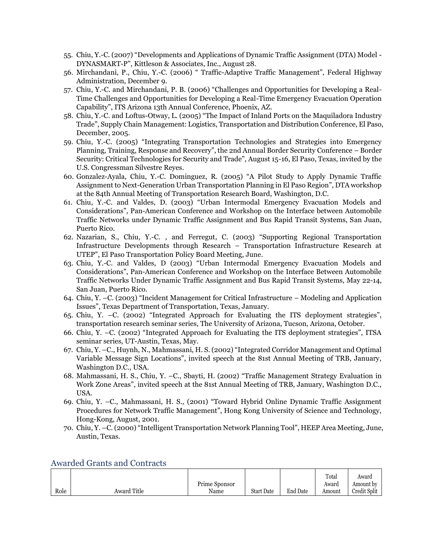- 55. Chiu, Y.-C. (2007) "Developments and Applications of Dynamic Traffic Assignment (DTA) Model DYNASMART-P", Kittleson & Associates, Inc., August 28.
- 56. Mirchandani, P., Chiu, Y.-C. (2006) " Traffic-Adaptive Traffic Management", Federal Highway Administration, December 9.
- 57. Chiu, Y.-C. and Mirchandani, P. B. (2006) "Challenges and Opportunities for Developing a Real-Time Challenges and Opportunities for Developing a Real-Time Emergency Evacuation Operation Capability", ITS Arizona 13th Annual Conference, Phoenix, AZ.
- 58. Chiu, Y.-C. and Loftus-Otway, L. (2005) "The Impact of Inland Ports on the Maquiladora Industry Trade", Supply Chain Management: Logistics, Transportation and Distribution Conference, El Paso, December, 2005.
- 59. Chiu, Y.-C. (2005) "Integrating Transportation Technologies and Strategies into Emergency Planning, Training, Response and Recovery", the 2nd Annual Border Security Conference – Border Security: Critical Technologies for Security and Trade", August 15-16, El Paso, Texas, invited by the U.S. Congressman Silvestre Reyes.
- 60. Gonzalez-Ayala, Chiu, Y.-C. Dominguez, R. (2005) "A Pilot Study to Apply Dynamic Traffic Assignment to Next-Generation Urban Transportation Planning in El Paso Region", DTA workshop at the 84th Annual Meeting of Transportation Research Board, Washington, D.C.
- 61. Chiu, Y.-C. and Valdes, D. (2003) "Urban Intermodal Emergency Evacuation Models and Considerations", Pan-American Conference and Workshop on the Interface between Automobile Traffic Networks under Dynamic Traffic Assignment and Bus Rapid Transit Systems, San Juan, Puerto Rico.
- 62. Nazarian, S., Chiu, Y.-C. , and Ferregut, C. (2003) "Supporting Regional Transportation Infrastructure Developments through Research – Transportation Infrastructure Research at UTEP", El Paso Transportation Policy Board Meeting, June.
- 63. Chiu, Y.-C. and Valdes, D (2003) "Urban Intermodal Emergency Evacuation Models and Considerations", Pan-American Conference and Workshop on the Interface Between Automobile Traffic Networks Under Dynamic Traffic Assignment and Bus Rapid Transit Systems, May 22-14, San Juan, Puerto Rico.
- 64. Chiu, Y. –C. (2003) "Incident Management for Critical Infrastructure Modeling and Application Issues", Texas Department of Transportation, Texas, January.
- 65. Chiu, Y. –C. (2002) "Integrated Approach for Evaluating the ITS deployment strategies", transportation research seminar series, The University of Arizona, Tucson, Arizona, October.
- 66. Chiu, Y. –C. (2002) "Integrated Approach for Evaluating the ITS deployment strategies", ITSA seminar series, UT-Austin, Texas, May.
- 67. Chiu, Y. –C., Huynh, N., Mahmassani, H. S. (2002) "Integrated Corridor Management and Optimal Variable Message Sign Locations", invited speech at the 81st Annual Meeting of TRB, January, Washington D.C., USA.
- 68. Mahmassani, H. S., Chiu, Y. –C., Sbayti, H. (2002) "Traffic Management Strategy Evaluation in Work Zone Areas", invited speech at the 81st Annual Meeting of TRB, January, Washington D.C., USA.
- 69. Chiu, Y. –C., Mahmassani, H. S., (2001) "Toward Hybrid Online Dynamic Traffic Assignment Procedures for Network Traffic Management", Hong Kong University of Science and Technology, Hong-Kong, August, 2001.
- 70. Chiu, Y. –C. (2000) "Intelligent Transportation Network Planning Tool", HEEP Area Meeting, June, Austin, Texas.

|      |             |               |                   |             | Total  | Award        |
|------|-------------|---------------|-------------------|-------------|--------|--------------|
|      |             | Prime Sponsor |                   |             | Award  | Amount by    |
| Role | Award Title | Name          | <b>Start Date</b> | End<br>Date | Amount | Credit Split |

## Awarded Grants and Contracts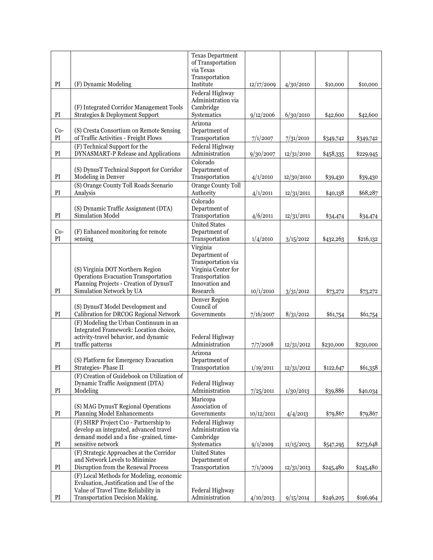|                            |                                                                                                                                               | <b>Texas Department</b><br>of Transportation                                                               |            |            |           |           |
|----------------------------|-----------------------------------------------------------------------------------------------------------------------------------------------|------------------------------------------------------------------------------------------------------------|------------|------------|-----------|-----------|
|                            |                                                                                                                                               | via Texas<br>Transportation                                                                                |            |            |           |           |
| PI                         | (F) Dynamic Modeling                                                                                                                          | Institute                                                                                                  | 12/17/2009 | 4/30/2010  | \$10,000  | \$10,000  |
| PI                         | (F) Integrated Corridor Management Tools<br><b>Strategies &amp; Deployment Support</b>                                                        | Federal Highway<br>Administration via<br>Cambridge<br>Systematics                                          | 9/12/2006  | 6/30/2010  | \$42,600  | \$42,600  |
|                            |                                                                                                                                               | Arizona                                                                                                    |            |            |           |           |
| $Co-$<br>PI                | (S) Cresta Consortium on Remote Sensing<br>of Traffic Activities - Freight Flows                                                              | Department of<br>Transportation                                                                            | 7/1/2007   | 7/31/2010  | \$349,742 | \$349,742 |
| $\mathop{\rm PI}$          | (F) Technical Support for the<br>DYNASMART-P Release and Applications                                                                         | Federal Highway<br>Administration                                                                          | 9/30/2007  | 12/31/2010 | \$458,335 | \$229,945 |
| $\mathop{\rm PI}\nolimits$ | (S) DynusT Technical Support for Corridor<br>Modeling in Denver                                                                               | Colorado<br>Department of<br>Transportation                                                                | 4/1/2010   | 12/30/2010 | \$39,430  | \$39,430  |
|                            | (S) Orange County Toll Roads Scenario                                                                                                         | Orange County Toll                                                                                         |            |            |           |           |
| $\mathop{\rm PI}$          | Analysis                                                                                                                                      | Authority                                                                                                  | 4/1/2011   | 12/31/2011 | \$40,138  | \$68,287  |
| $\mathbf{PI}$              | (S) Dynamic Traffic Assignment (DTA)<br>Simulation Model                                                                                      | Colorado<br>Department of<br>Transportation                                                                | 4/6/2011   | 12/31/2011 | \$34,474  | \$34,474  |
| $Co-$<br>PI                | (F) Enhanced monitoring for remote<br>sensing                                                                                                 | <b>United States</b><br>Department of<br>Transportation                                                    | 1/4/2010   | 3/15/2012  | \$432,263 | \$216,132 |
|                            | (S) Virginia DOT Northern Region<br>Operations Evacuation Transportation<br>Planning Projects - Creation of DynusT                            | Virginia<br>Department of<br>Transportation via<br>Virginia Center for<br>Transportation<br>Innovation and |            |            |           |           |
| PI                         | Simulation Network by UA                                                                                                                      | Research                                                                                                   | 10/1/2010  | 3/31/2012  | \$73,272  | \$73,272  |
| PI                         | (S) DynusT Model Development and<br>Calibration for DRCOG Regional Network                                                                    | <b>Denver Region</b><br>Council of<br>Governments                                                          | 7/16/2007  | 8/31/2012  | \$61,754  | \$61,754  |
| PI                         | (F) Modeling the Urban Continuum in an<br>Integrated Framework: Location choice,<br>activity-travel behavior, and dynamic<br>traffic patterns | Federal Highway<br>Administration                                                                          | 7/7/2008   | 12/31/2012 | \$230,000 | \$230,000 |
| $\mathop{\rm PI}\nolimits$ | (S) Platform for Emergency Evacuation<br>Strategies-Phase II                                                                                  | Arizona<br>Department of<br>Transportation                                                                 | 1/19/2011  | 12/31/2012 | \$122,647 | \$61,358  |
| PI                         | (F) Creation of Guidebook on Utilization of<br>Dynamic Traffic Assignment (DTA)<br>Modeling                                                   | Federal Highway<br>Administration                                                                          | 7/25/2011  | 1/30/2013  | \$39,886  | \$40,034  |
| $\mathop{\rm PI}$          | (S) MAG DynusT Regional Operations<br>Planning Model Enhancements                                                                             | Maricopa<br>Association of<br>Governments                                                                  | 10/12/2011 | 4/4/2013   | \$79,867  | \$79,867  |
|                            | (F) SHRP Project C10 - Partnership to<br>develop an integrated, advanced travel                                                               | Federal Highway<br>Administration via                                                                      |            |            |           |           |
| PI                         | demand model and a fine-grained, time-<br>sensitive network                                                                                   | Cambridge<br>Systematics                                                                                   | 9/1/2009   | 11/15/2013 | \$547,295 | \$273,648 |
| PI                         | (F) Strategic Approaches at the Corridor<br>and Network Levels to Minimize<br>Disruption from the Renewal Process                             | <b>United States</b><br>Department of<br>Transportation                                                    | 7/1/2009   | 12/31/2013 | \$245,480 | \$245,480 |
|                            | (F) Local Methods for Modeling, economic<br>Evaluation, Justification and Use of the<br>Value of Travel Time Reliability in                   | Federal Highway                                                                                            |            |            |           |           |
| PI                         | Transportation Decision Making.                                                                                                               | Administration                                                                                             | 4/10/2013  | 9/15/2014  | \$246,205 | \$196,964 |